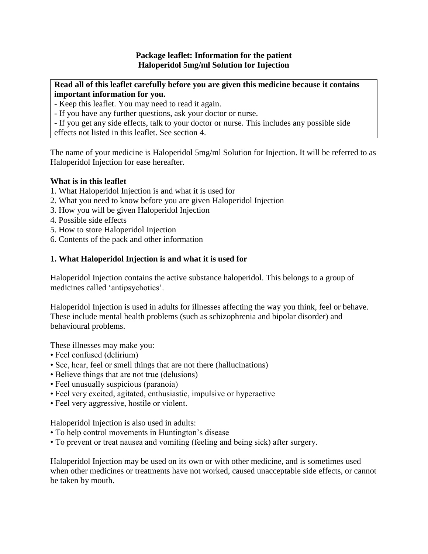## **Package leaflet: Information for the patient Haloperidol 5mg/ml Solution for Injection**

**Read all of this leaflet carefully before you are given this medicine because it contains important information for you.** 

- Keep this leaflet. You may need to read it again.

- If you have any further questions, ask your doctor or nurse.

- If you get any side effects, talk to your doctor or nurse. This includes any possible side effects not listed in this leaflet. See section 4.

The name of your medicine is Haloperidol 5mg/ml Solution for Injection. It will be referred to as Haloperidol Injection for ease hereafter.

## **What is in this leaflet**

- 1. What Haloperidol Injection is and what it is used for
- 2. What you need to know before you are given Haloperidol Injection
- 3. How you will be given Haloperidol Injection
- 4. Possible side effects
- 5. How to store Haloperidol Injection
- 6. Contents of the pack and other information

## **1. What Haloperidol Injection is and what it is used for**

Haloperidol Injection contains the active substance haloperidol. This belongs to a group of medicines called 'antipsychotics'.

Haloperidol Injection is used in adults for illnesses affecting the way you think, feel or behave. These include mental health problems (such as schizophrenia and bipolar disorder) and behavioural problems.

These illnesses may make you:

- Feel confused (delirium)
- See, hear, feel or smell things that are not there (hallucinations)
- Believe things that are not true (delusions)
- Feel unusually suspicious (paranoia)
- Feel very excited, agitated, enthusiastic, impulsive or hyperactive
- Feel very aggressive, hostile or violent.

Haloperidol Injection is also used in adults:

- To help control movements in Huntington's disease
- To prevent or treat nausea and vomiting (feeling and being sick) after surgery.

Haloperidol Injection may be used on its own or with other medicine, and is sometimes used when other medicines or treatments have not worked, caused unacceptable side effects, or cannot be taken by mouth.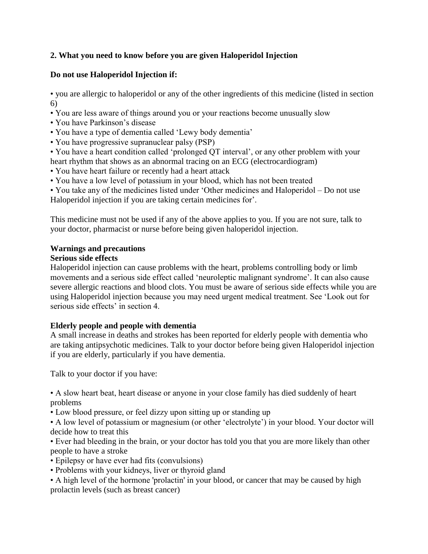# **2. What you need to know before you are given Haloperidol Injection**

# **Do not use Haloperidol Injection if:**

• you are allergic to haloperidol or any of the other ingredients of this medicine (listed in section 6)

• You are less aware of things around you or your reactions become unusually slow

- You have Parkinson's disease
- You have a type of dementia called 'Lewy body dementia'
- You have progressive supranuclear palsy (PSP)
- You have a heart condition called 'prolonged QT interval', or any other problem with your heart rhythm that shows as an abnormal tracing on an ECG (electrocardiogram)
- You have heart failure or recently had a heart attack
- You have a low level of potassium in your blood, which has not been treated

• You take any of the medicines listed under 'Other medicines and Haloperidol – Do not use Haloperidol injection if you are taking certain medicines for'.

This medicine must not be used if any of the above applies to you. If you are not sure, talk to your doctor, pharmacist or nurse before being given haloperidol injection.

# **Warnings and precautions**

## **Serious side effects**

Haloperidol injection can cause problems with the heart, problems controlling body or limb movements and a serious side effect called 'neuroleptic malignant syndrome'. It can also cause severe allergic reactions and blood clots. You must be aware of serious side effects while you are using Haloperidol injection because you may need urgent medical treatment. See 'Look out for serious side effects' in section 4.

# **Elderly people and people with dementia**

A small increase in deaths and strokes has been reported for elderly people with dementia who are taking antipsychotic medicines. Talk to your doctor before being given Haloperidol injection if you are elderly, particularly if you have dementia.

Talk to your doctor if you have:

• A slow heart beat, heart disease or anyone in your close family has died suddenly of heart problems

• Low blood pressure, or feel dizzy upon sitting up or standing up

• A low level of potassium or magnesium (or other 'electrolyte') in your blood. Your doctor will decide how to treat this

• Ever had bleeding in the brain, or your doctor has told you that you are more likely than other people to have a stroke

- Epilepsy or have ever had fits (convulsions)
- Problems with your kidneys, liver or thyroid gland

• A high level of the hormone 'prolactin' in your blood, or cancer that may be caused by high prolactin levels (such as breast cancer)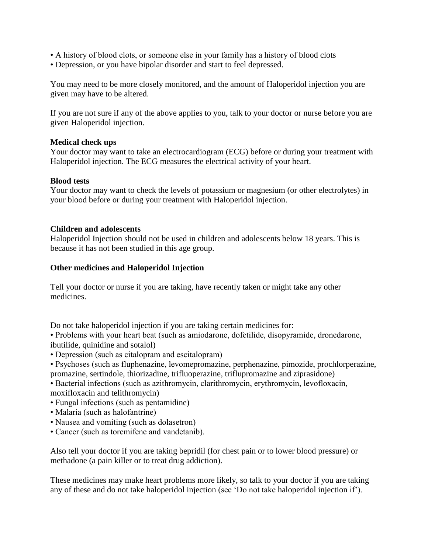- A history of blood clots, or someone else in your family has a history of blood clots
- Depression, or you have bipolar disorder and start to feel depressed.

You may need to be more closely monitored, and the amount of Haloperidol injection you are given may have to be altered.

If you are not sure if any of the above applies to you, talk to your doctor or nurse before you are given Haloperidol injection.

## **Medical check ups**

Your doctor may want to take an electrocardiogram (ECG) before or during your treatment with Haloperidol injection. The ECG measures the electrical activity of your heart.

## **Blood tests**

Your doctor may want to check the levels of potassium or magnesium (or other electrolytes) in your blood before or during your treatment with Haloperidol injection.

## **Children and adolescents**

Haloperidol Injection should not be used in children and adolescents below 18 years. This is because it has not been studied in this age group.

## **Other medicines and Haloperidol Injection**

Tell your doctor or nurse if you are taking, have recently taken or might take any other medicines.

Do not take haloperidol injection if you are taking certain medicines for:

• Problems with your heart beat (such as amiodarone, dofetilide, disopyramide, dronedarone, ibutilide, quinidine and sotalol)

- Depression (such as citalopram and escitalopram)
- Psychoses (such as fluphenazine, levomepromazine, perphenazine, pimozide, prochlorperazine, promazine, sertindole, thiorizadine, trifluoperazine, triflupromazine and ziprasidone)

• Bacterial infections (such as azithromycin, clarithromycin, erythromycin, levofloxacin, moxifloxacin and telithromycin)

- Fungal infections (such as pentamidine)
- Malaria (such as halofantrine)
- Nausea and vomiting (such as dolasetron)
- Cancer (such as toremifene and vandetanib).

Also tell your doctor if you are taking bepridil (for chest pain or to lower blood pressure) or methadone (a pain killer or to treat drug addiction).

These medicines may make heart problems more likely, so talk to your doctor if you are taking any of these and do not take haloperidol injection (see 'Do not take haloperidol injection if').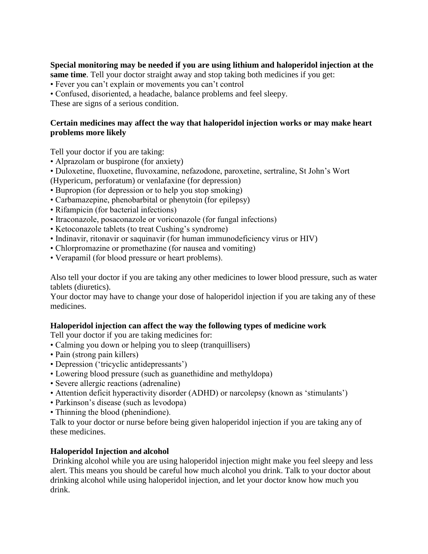# **Special monitoring may be needed if you are using lithium and haloperidol injection at the**

**same time**. Tell your doctor straight away and stop taking both medicines if you get:

- Fever you can't explain or movements you can't control
- Confused, disoriented, a headache, balance problems and feel sleepy.

These are signs of a serious condition.

## **Certain medicines may affect the way that haloperidol injection works or may make heart problems more likely**

Tell your doctor if you are taking:

- Alprazolam or buspirone (for anxiety)
- Duloxetine, fluoxetine, fluvoxamine, nefazodone, paroxetine, sertraline, St John's Wort
- (Hypericum, perforatum) or venlafaxine (for depression)
- Bupropion (for depression or to help you stop smoking)
- Carbamazepine, phenobarbital or phenytoin (for epilepsy)
- Rifampicin (for bacterial infections)
- Itraconazole, posaconazole or voriconazole (for fungal infections)
- Ketoconazole tablets (to treat Cushing's syndrome)
- Indinavir, ritonavir or saquinavir (for human immunodeficiency virus or HIV)
- Chlorpromazine or promethazine (for nausea and vomiting)
- Verapamil (for blood pressure or heart problems).

Also tell your doctor if you are taking any other medicines to lower blood pressure, such as water tablets (diuretics).

Your doctor may have to change your dose of haloperidol injection if you are taking any of these medicines.

## **Haloperidol injection can affect the way the following types of medicine work**

Tell your doctor if you are taking medicines for:

- Calming you down or helping you to sleep (tranquillisers)
- Pain (strong pain killers)
- Depression ('tricyclic antidepressants')
- Lowering blood pressure (such as guanethidine and methyldopa)
- Severe allergic reactions (adrenaline)
- Attention deficit hyperactivity disorder (ADHD) or narcolepsy (known as 'stimulants')
- Parkinson's disease (such as levodopa)
- Thinning the blood (phenindione).

Talk to your doctor or nurse before being given haloperidol injection if you are taking any of these medicines.

## **Haloperidol Injection and alcohol**

Drinking alcohol while you are using haloperidol injection might make you feel sleepy and less alert. This means you should be careful how much alcohol you drink. Talk to your doctor about drinking alcohol while using haloperidol injection, and let your doctor know how much you drink.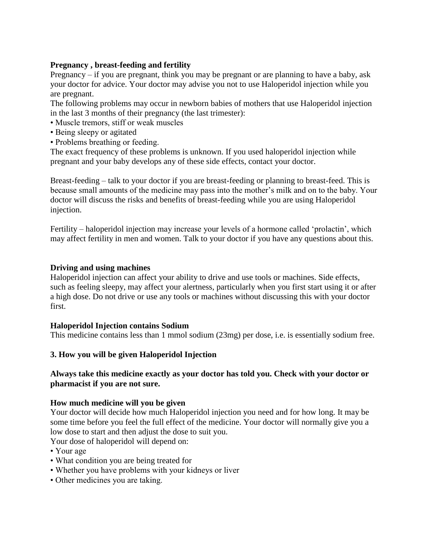## **Pregnancy , breast-feeding and fertility**

Pregnancy – if you are pregnant, think you may be pregnant or are planning to have a baby, ask your doctor for advice. Your doctor may advise you not to use Haloperidol injection while you are pregnant.

The following problems may occur in newborn babies of mothers that use Haloperidol injection in the last 3 months of their pregnancy (the last trimester):

- Muscle tremors, stiff or weak muscles
- Being sleepy or agitated
- Problems breathing or feeding.

The exact frequency of these problems is unknown. If you used haloperidol injection while pregnant and your baby develops any of these side effects, contact your doctor.

Breast-feeding – talk to your doctor if you are breast-feeding or planning to breast-feed. This is because small amounts of the medicine may pass into the mother's milk and on to the baby. Your doctor will discuss the risks and benefits of breast-feeding while you are using Haloperidol injection.

Fertility – haloperidol injection may increase your levels of a hormone called 'prolactin', which may affect fertility in men and women. Talk to your doctor if you have any questions about this.

## **Driving and using machines**

Haloperidol injection can affect your ability to drive and use tools or machines. Side effects, such as feeling sleepy, may affect your alertness, particularly when you first start using it or after a high dose. Do not drive or use any tools or machines without discussing this with your doctor first.

## **Haloperidol Injection contains Sodium**

This medicine contains less than 1 mmol sodium (23mg) per dose, i.e. is essentially sodium free.

## **3. How you will be given Haloperidol Injection**

## **Always take this medicine exactly as your doctor has told you. Check with your doctor or pharmacist if you are not sure.**

#### **How much medicine will you be given**

Your doctor will decide how much Haloperidol injection you need and for how long. It may be some time before you feel the full effect of the medicine. Your doctor will normally give you a low dose to start and then adjust the dose to suit you.

Your dose of haloperidol will depend on:

- Your age
- What condition you are being treated for
- Whether you have problems with your kidneys or liver
- Other medicines you are taking.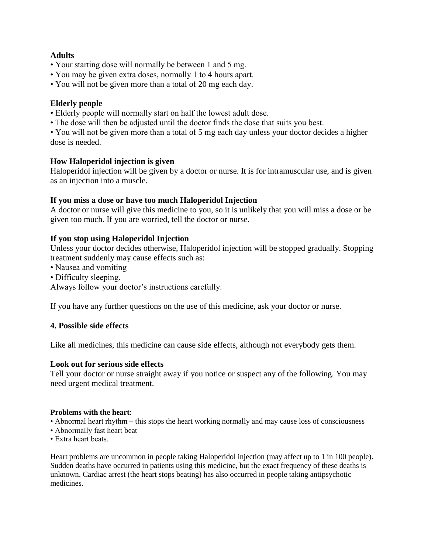## **Adults**

- Your starting dose will normally be between 1 and 5 mg.
- You may be given extra doses, normally 1 to 4 hours apart.
- You will not be given more than a total of 20 mg each day.

## **Elderly people**

- Elderly people will normally start on half the lowest adult dose.
- The dose will then be adjusted until the doctor finds the dose that suits you best.
- You will not be given more than a total of 5 mg each day unless your doctor decides a higher dose is needed.

## **How Haloperidol injection is given**

Haloperidol injection will be given by a doctor or nurse. It is for intramuscular use, and is given as an injection into a muscle.

## **If you miss a dose or have too much Haloperidol Injection**

A doctor or nurse will give this medicine to you, so it is unlikely that you will miss a dose or be given too much. If you are worried, tell the doctor or nurse.

## **If you stop using Haloperidol Injection**

Unless your doctor decides otherwise, Haloperidol injection will be stopped gradually. Stopping treatment suddenly may cause effects such as:

- Nausea and vomiting
- Difficulty sleeping.

Always follow your doctor's instructions carefully.

If you have any further questions on the use of this medicine, ask your doctor or nurse.

## **4. Possible side effects**

Like all medicines, this medicine can cause side effects, although not everybody gets them.

#### **Look out for serious side effects**

Tell your doctor or nurse straight away if you notice or suspect any of the following. You may need urgent medical treatment.

#### **Problems with the heart**:

- Abnormal heart rhythm this stops the heart working normally and may cause loss of consciousness
- Abnormally fast heart beat
- Extra heart beats.

Heart problems are uncommon in people taking Haloperidol injection (may affect up to 1 in 100 people). Sudden deaths have occurred in patients using this medicine, but the exact frequency of these deaths is unknown. Cardiac arrest (the heart stops beating) has also occurred in people taking antipsychotic medicines.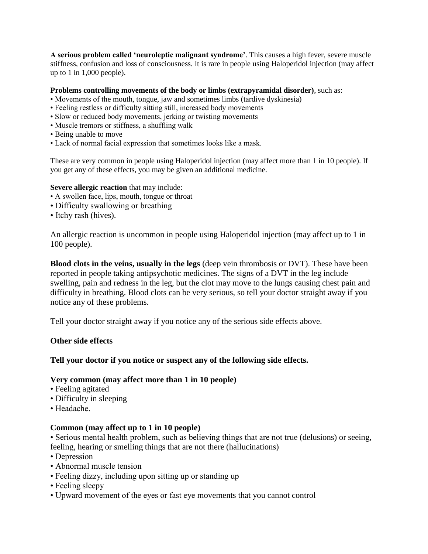**A serious problem called 'neuroleptic malignant syndrome'**. This causes a high fever, severe muscle stiffness, confusion and loss of consciousness. It is rare in people using Haloperidol injection (may affect up to 1 in 1,000 people).

#### **Problems controlling movements of the body or limbs (extrapyramidal disorder)**, such as:

- Movements of the mouth, tongue, jaw and sometimes limbs (tardive dyskinesia)
- Feeling restless or difficulty sitting still, increased body movements
- Slow or reduced body movements, jerking or twisting movements
- Muscle tremors or stiffness, a shuffling walk
- Being unable to move
- Lack of normal facial expression that sometimes looks like a mask.

These are very common in people using Haloperidol injection (may affect more than 1 in 10 people). If you get any of these effects, you may be given an additional medicine.

#### **Severe allergic reaction** that may include:

- A swollen face, lips, mouth, tongue or throat
- Difficulty swallowing or breathing
- Itchy rash (hives).

An allergic reaction is uncommon in people using Haloperidol injection (may affect up to 1 in 100 people).

**Blood clots in the veins, usually in the legs** (deep vein thrombosis or DVT). These have been reported in people taking antipsychotic medicines. The signs of a DVT in the leg include swelling, pain and redness in the leg, but the clot may move to the lungs causing chest pain and difficulty in breathing. Blood clots can be very serious, so tell your doctor straight away if you notice any of these problems.

Tell your doctor straight away if you notice any of the serious side effects above.

## **Other side effects**

## **Tell your doctor if you notice or suspect any of the following side effects.**

## **Very common (may affect more than 1 in 10 people)**

- Feeling agitated
- Difficulty in sleeping
- Headache.

## **Common (may affect up to 1 in 10 people)**

• Serious mental health problem, such as believing things that are not true (delusions) or seeing, feeling, hearing or smelling things that are not there (hallucinations)

- Depression
- Abnormal muscle tension
- Feeling dizzy, including upon sitting up or standing up
- Feeling sleepy
- Upward movement of the eyes or fast eye movements that you cannot control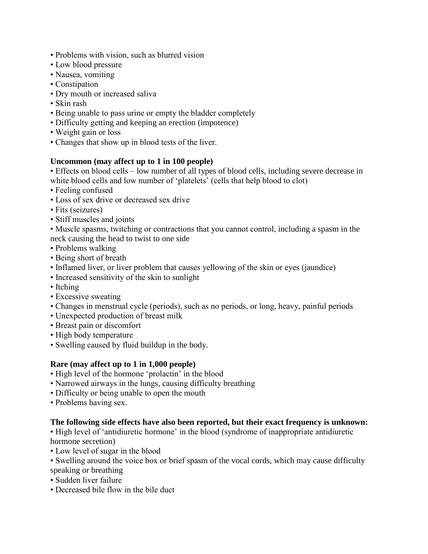- Problems with vision, such as blurred vision
- Low blood pressure
- Nausea, vomiting
- Constipation
- Dry mouth or increased saliva
- Skin rash
- Being unable to pass urine or empty the bladder completely
- Difficulty getting and keeping an erection (impotence)
- Weight gain or loss
- Changes that show up in blood tests of the liver.

## **Uncommon (may affect up to 1 in 100 people)**

• Effects on blood cells – low number of all types of blood cells, including severe decrease in white blood cells and low number of 'platelets' (cells that help blood to clot)

- Feeling confused
- Loss of sex drive or decreased sex drive
- Fits (seizures)
- Stiff muscles and joints

• Muscle spasms, twitching or contractions that you cannot control, including a spasm in the neck causing the head to twist to one side

- Problems walking
- Being short of breath
- Inflamed liver, or liver problem that causes yellowing of the skin or eyes (jaundice)
- Increased sensitivity of the skin to sunlight
- Itching
- Excessive sweating
- Changes in menstrual cycle (periods), such as no periods, or long, heavy, painful periods
- Unexpected production of breast milk
- Breast pain or discomfort
- High body temperature
- Swelling caused by fluid buildup in the body.

## **Rare (may affect up to 1 in 1,000 people)**

- High level of the hormone 'prolactin' in the blood
- Narrowed airways in the lungs, causing difficulty breathing
- Difficulty or being unable to open the mouth
- Problems having sex.

## **The following side effects have also been reported, but their exact frequency is unknown:**

• High level of 'antidiuretic hormone' in the blood (syndrome of inappropriate antidiuretic hormone secretion)

- Low level of sugar in the blood
- Swelling around the voice box or brief spasm of the vocal cords, which may cause difficulty speaking or breathing
- Sudden liver failure
- Decreased bile flow in the bile duct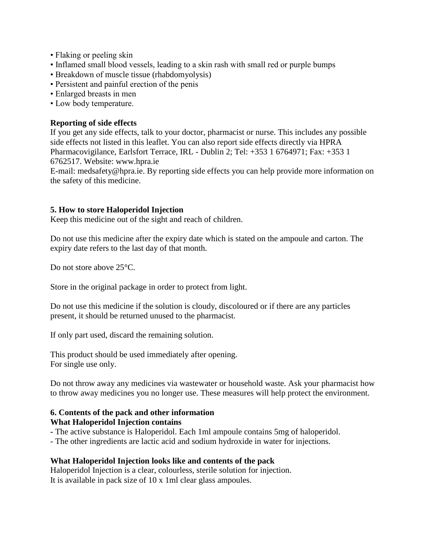- Flaking or peeling skin
- Inflamed small blood vessels, leading to a skin rash with small red or purple bumps
- Breakdown of muscle tissue (rhabdomyolysis)
- Persistent and painful erection of the penis
- Enlarged breasts in men
- Low body temperature.

## **Reporting of side effects**

If you get any side effects, talk to your doctor, pharmacist or nurse. This includes any possible side effects not listed in this leaflet. You can also report side effects directly via HPRA Pharmacovigilance, Earlsfort Terrace, IRL - Dublin 2; Tel: +353 1 6764971; Fax: +353 1 6762517. Website: www.hpra.ie

E-mail: medsafety@hpra.ie. By reporting side effects you can help provide more information on the safety of this medicine.

## **5. How to store Haloperidol Injection**

Keep this medicine out of the sight and reach of children.

Do not use this medicine after the expiry date which is stated on the ampoule and carton. The expiry date refers to the last day of that month.

Do not store above 25<sup>o</sup>C.

Store in the original package in order to protect from light.

Do not use this medicine if the solution is cloudy, discoloured or if there are any particles present, it should be returned unused to the pharmacist.

If only part used, discard the remaining solution.

This product should be used immediately after opening. For single use only.

Do not throw away any medicines via wastewater or household waste. Ask your pharmacist how to throw away medicines you no longer use. These measures will help protect the environment.

#### **6. Contents of the pack and other information What Haloperidol Injection contains**

- **-** The active substance is Haloperidol. Each 1ml ampoule contains 5mg of haloperidol.
- The other ingredients are lactic acid and sodium hydroxide in water for injections.

## **What Haloperidol Injection looks like and contents of the pack**

Haloperidol Injection is a clear, colourless, sterile solution for injection. It is available in pack size of 10 x 1ml clear glass ampoules.